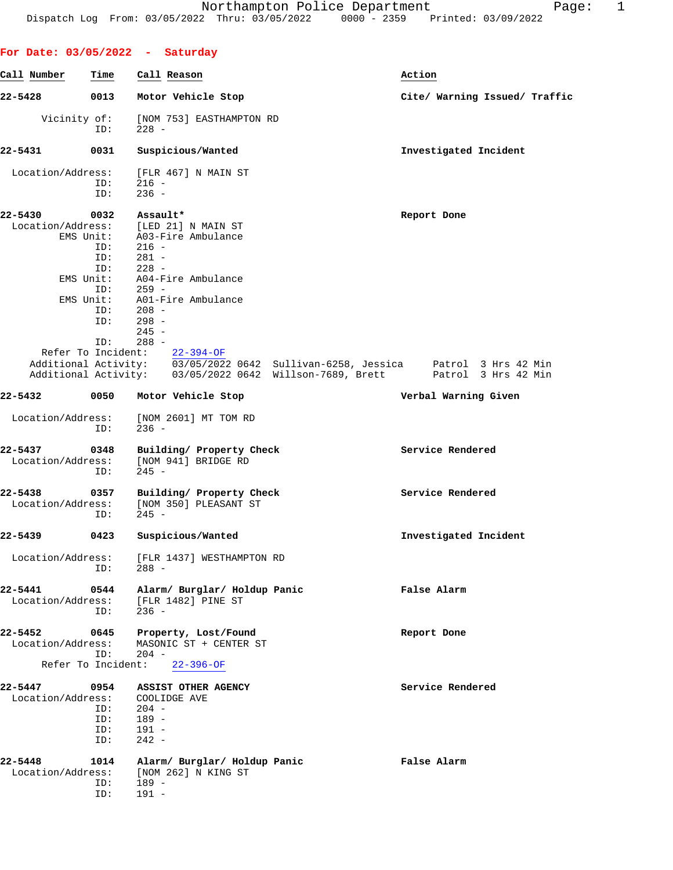| Call Number                  | Time      | Call Reason                                        | Action                                                                                    |
|------------------------------|-----------|----------------------------------------------------|-------------------------------------------------------------------------------------------|
| 22-5428                      | 0013      | Motor Vehicle Stop                                 | Cite/ Warning Issued/ Traffic                                                             |
| Vicinity of:                 | ID:       | [NOM 753] EASTHAMPTON RD<br>$228 -$                |                                                                                           |
| 22-5431                      | 0031      | Suspicious/Wanted                                  | Investigated Incident                                                                     |
| Location/Address:            |           | [FLR 467] N MAIN ST                                |                                                                                           |
|                              | ID:       | $216 -$                                            |                                                                                           |
|                              | ID:       | $236 -$                                            |                                                                                           |
| 22-5430                      | 0032      | Assault*                                           | Report Done                                                                               |
|                              |           | Location/Address: [LED 21] N MAIN ST               |                                                                                           |
|                              |           | EMS Unit: A03-Fire Ambulance                       |                                                                                           |
|                              | ID:       | $216 -$                                            |                                                                                           |
|                              | ID:       | $281 -$                                            |                                                                                           |
|                              | ID:       | $228 -$                                            |                                                                                           |
|                              | EMS Unit: | A04-Fire Ambulance                                 |                                                                                           |
|                              | ID:       | $259 -$                                            |                                                                                           |
|                              | EMS Unit: | A01-Fire Ambulance                                 |                                                                                           |
|                              | ID:       | $208 -$                                            |                                                                                           |
|                              | ID:       | 298 -                                              |                                                                                           |
|                              |           | $245 -$                                            |                                                                                           |
|                              | ID:       | $288 -$<br>Refer To Incident: 22-394-OF            |                                                                                           |
|                              |           |                                                    | Additional Activity: $\sqrt{0.3/05/2022}$ 0642 Sullivan-6258, Jessica Patrol 3 Hrs 42 Min |
|                              |           |                                                    | Additional Activity: 03/05/2022 0642 Willson-7689, Brett Patrol 3 Hrs 42 Min              |
| 22-5432                      | 0050      | Motor Vehicle Stop                                 | Verbal Warning Given                                                                      |
| Location/Address:            | ID:       | [NOM 2601] MT TOM RD<br>$236 -$                    |                                                                                           |
| 22-5437                      | 0348      | Building/ Property Check                           | Service Rendered                                                                          |
| Location/Address:            | ID:       | [NOM 941] BRIDGE RD<br>$245 -$                     |                                                                                           |
| 22-5438                      | 0357      | Building/ Property Check                           | Service Rendered                                                                          |
| Location/Address:            |           | [NOM 350] PLEASANT ST                              |                                                                                           |
|                              | ID:       | $245 -$                                            |                                                                                           |
|                              |           |                                                    |                                                                                           |
| 22-5439                      | 0423      | Suspicious/Wanted                                  | Investigated Incident                                                                     |
|                              |           |                                                    |                                                                                           |
| Location/Address:            |           | [FLR 1437] WESTHAMPTON RD                          |                                                                                           |
|                              | ID:       | $288 -$                                            |                                                                                           |
|                              |           |                                                    |                                                                                           |
| 22-5441<br>Location/Address: | 0544      | Alarm/ Burglar/ Holdup Panic<br>[FLR 1482] PINE ST | False Alarm                                                                               |
|                              | ID:       | $236 -$                                            |                                                                                           |
|                              |           |                                                    |                                                                                           |
| 22-5452                      | 0645      | Property, Lost/Found                               | Report Done                                                                               |
| Location/Address:            |           | MASONIC ST + CENTER ST                             |                                                                                           |
|                              | ID:       | $204 -$                                            |                                                                                           |
| Refer To Incident:           |           | $22 - 396 - OF$                                    |                                                                                           |
|                              |           |                                                    |                                                                                           |
| 22-5447                      | 0954      | ASSIST OTHER AGENCY                                | Service Rendered                                                                          |
| Location/Address:            |           | COOLIDGE AVE                                       |                                                                                           |
|                              | ID:       | $204 -$                                            |                                                                                           |
|                              | ID:       | 189 -                                              |                                                                                           |
|                              | ID:       | $191 -$                                            |                                                                                           |
|                              | ID:       | $242 -$                                            |                                                                                           |
|                              |           |                                                    |                                                                                           |
| 22-5448                      | 1014      | Alarm/ Burglar/ Holdup Panic                       | False Alarm                                                                               |
| Location/Address:            |           | [NOM 262] N KING ST                                |                                                                                           |
|                              | ID:       | 189 -                                              |                                                                                           |
|                              | ID:       | $191 -$                                            |                                                                                           |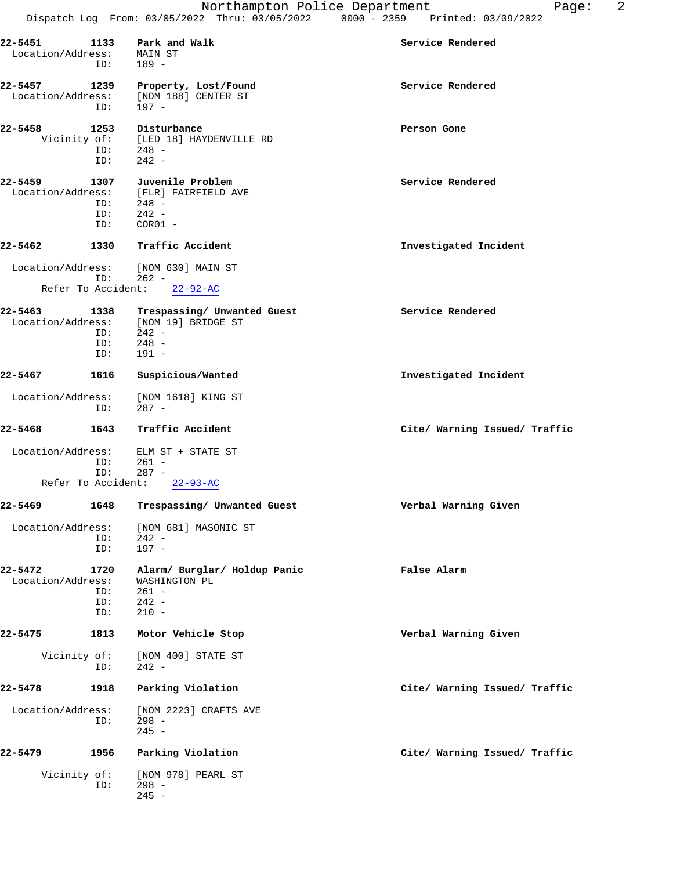| $22 - 5451$<br>Location/Address: | 1133<br>ID:               | Park and Walk<br>MAIN ST<br>$189 -$                                                                     | Service Rendered              |
|----------------------------------|---------------------------|---------------------------------------------------------------------------------------------------------|-------------------------------|
| $22 - 5457$<br>Location/Address: | 1239<br>ID:               | Property, Lost/Found<br>[NOM 188] CENTER ST<br>197 -                                                    | Service Rendered              |
| 22-5458                          | 1253<br>ID:<br>ID:        | Disturbance<br>Vicinity of: [LED 18] HAYDENVILLE RD<br>$248 -$<br>$242 -$                               | Person Gone                   |
| 22-5459<br>Location/Address:     | 1307<br>ID:<br>ID:<br>ID: | <b>Juvenile Problem</b><br>[FLR] FAIRFIELD AVE<br>$248 -$<br>$242 -$<br>$COR01 -$                       | Service Rendered              |
| 22-5462                          | 1330                      | Traffic Accident                                                                                        | Investigated Incident         |
|                                  | ID:                       | Location/Address: [NOM 630] MAIN ST<br>$262 -$<br>Refer To Accident: 22-92-AC                           |                               |
| $22 - 5463$                      | ID:<br>ID:<br>ID:         | 1338 Trespassing/ Unwanted Guest<br>Location/Address: [NOM 19] BRIDGE ST<br>$242 -$<br>$248 -$<br>191 - | Service Rendered              |
| 22-5467                          | 1616                      | Suspicious/Wanted                                                                                       | Investigated Incident         |
| Location/Address:                | ID:                       | [NOM 1618] KING ST<br>$287 -$                                                                           |                               |
| 22-5468                          | 1643                      | Traffic Accident                                                                                        | Cite/ Warning Issued/ Traffic |
| Location/Address:                | ID:<br>ID:                | ELM ST + STATE ST<br>261 -<br>$287 -$                                                                   |                               |
|                                  |                           | Refer To Accident: 22-93-AC                                                                             |                               |
| 22-5469                          |                           | 1648 Trespassing/ Unwanted Guest                                                                        | Verbal Warning Given          |
| Location/Address:                | ID:<br>ID:                | [NOM 681] MASONIC ST<br>$242 -$<br>$197 -$                                                              |                               |
| $22 - 5472$<br>Location/Address: | 1720<br>ID:<br>ID:<br>ID: | Alarm/ Burglar/ Holdup Panic<br>WASHINGTON PL<br>$261 -$<br>$242 -$<br>$210 -$                          | False Alarm                   |
| $22 - 5475$                      | 1813                      | Motor Vehicle Stop                                                                                      | Verbal Warning Given          |
| Vicinity of:                     | ID:                       | [NOM 400] STATE ST<br>$242 -$                                                                           |                               |
| 22-5478                          | 1918                      | Parking Violation                                                                                       | Cite/ Warning Issued/ Traffic |
| Location/Address:                | ID:                       | [NOM 2223] CRAFTS AVE<br>$298 -$<br>$245 -$                                                             |                               |
| 22-5479                          |                           |                                                                                                         |                               |
|                                  | 1956                      | Parking Violation                                                                                       | Cite/ Warning Issued/ Traffic |